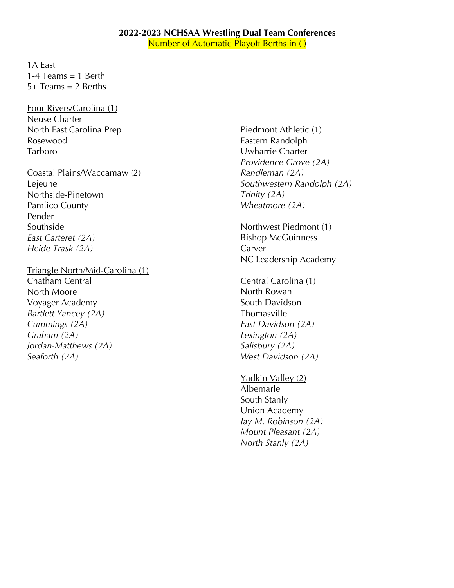## **2022-2023 NCHSAA Wrestling Dual Team Conferences**

Number of Automatic Playoff Berths in ()

1A East 1-4 Teams  $= 1$  Berth  $5+$  Teams = 2 Berths

Four Rivers/Carolina (1) Neuse Charter North East Carolina Prep Rosewood Tarboro

Coastal Plains/Waccamaw (2) Lejeune Northside-Pinetown Pamlico County Pender Southside *East Carteret (2A) Heide Trask (2A)*

Triangle North/Mid-Carolina (1)

Chatham Central North Moore Voyager Academy *Bartlett Yancey (2A) Cummings (2A) Graham (2A) Jordan-Matthews (2A) Seaforth (2A)*

Piedmont Athletic (1) Eastern Randolph Uwharrie Charter *Providence Grove (2A) Randleman (2A) Southwestern Randolph (2A) Trinity (2A) Wheatmore (2A)*

Northwest Piedmont (1) Bishop McGuinness Carver NC Leadership Academy

Central Carolina (1) North Rowan South Davidson Thomasville *East Davidson (2A) Lexington (2A) Salisbury (2A) West Davidson (2A)*

Yadkin Valley (2) Albemarle South Stanly Union Academy *Jay M. Robinson (2A) Mount Pleasant (2A) North Stanly (2A)*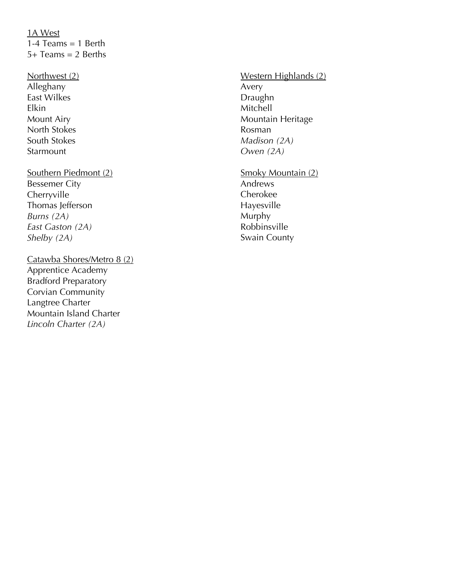# 1A West 1-4 Teams  $= 1$  Berth 5+ Teams = 2 Berths

- Northwest (2) Alleghany East Wilkes Elkin Mount Airy North Stokes South Stokes **Starmount**
- Southern Piedmont (2) Bessemer City Cherryville Thomas lefferson *Burns (2A) East Gaston (2A) Shelby (2A)*
- Catawba Shores/Metro 8 (2) Apprentice Academy Bradford Preparatory Corvian Community Langtree Charter Mountain Island Charter *Lincoln Charter (2A)*

# Western Highlands (2) Avery Draughn Mitchell Mountain Heritage Rosman *Madison (2A) Owen (2A)*

Smoky Mountain (2) Andrews Cherokee Hayesville Murphy Robbinsville Swain County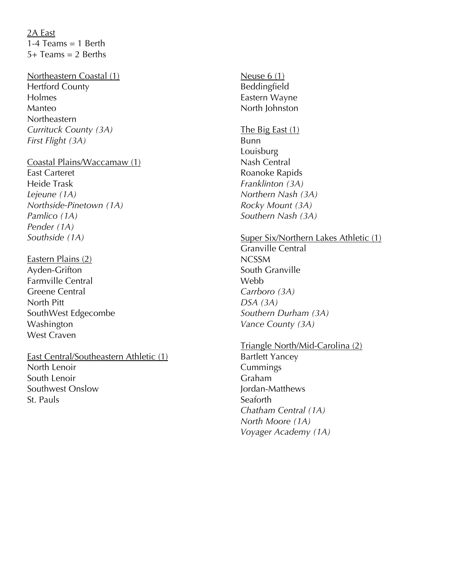2A East 1-4 Teams  $= 1$  Berth  $5+$  Teams = 2 Berths

#### Northeastern Coastal (1) Hertford County

Holmes Manteo **Northeastern** *Currituck County (3A) First Flight (3A)*

#### Coastal Plains/Waccamaw (1)

East Carteret Heide Trask *Lejeune (1A) Northside-Pinetown (1A) Pamlico (1A) Pender (1A) Southside (1A)*

Eastern Plains (2) Ayden-Grifton Farmville Central Greene Central North Pitt SouthWest Edgecombe Washington West Craven

East Central/Southeastern Athletic (1) North Lenoir South Lenoir Southwest Onslow St. Pauls

Neuse 6 (1) Beddingfield Eastern Wayne North Johnston

The Big East (1) Bunn Louisburg Nash Central Roanoke Rapids *Franklinton (3A) Northern Nash (3A) Rocky Mount (3A) Southern Nash (3A)*

#### Super Six/Northern Lakes Athletic (1)

Granville Central NCSSM South Granville Webb *Carrboro (3A) DSA (3A) Southern Durham (3A) Vance County (3A)*

### Triangle North/Mid-Carolina (2)

Bartlett Yancey Cummings Graham Jordan-Matthews **Seaforth** *Chatham Central (1A) North Moore (1A) Voyager Academy (1A)*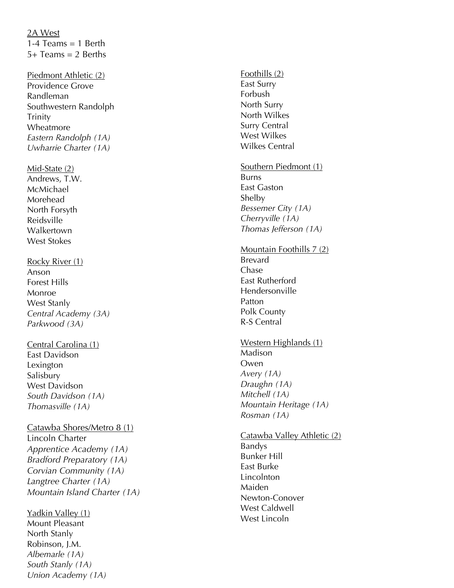2A West 1-4 Teams  $= 1$  Berth 5+ Teams = 2 Berths

Piedmont Athletic (2) Providence Grove Randleman Southwestern Randolph Trinity Wheatmore *Eastern Randolph (1A) Uwharrie Charter (1A)*

Mid -State (2) Andrews, T.W. McMichael Morehead North Forsyth Reidsville Walkertown West Stokes

#### Rocky River (1) Anson Forest Hills Monroe West Stanly *Central Academy (3A) Parkwood (3A)*

Central Carolina (1) East Davidson Lexington **Salisbury** West Davidson *South Davidson (1A) Thomasville (1A)*

# Catawba Shores/Metro 8 ( 1 )

Lincoln Charter *Apprentice Academy (1A) Bradford Preparatory (1A) Corvian Community (1A) Langtree Charter (1A) Mountain Island Charter (1A)*

Yadkin Valley (1) Mount Pleasant North Stanly Robinson, J.M. *Albemarle (1A) South Stanly (1A) Union Academy (1A)*

#### Foothills (2)

East Surry Forbush North Surry North Wilkes Surry Central West Wilkes Wilkes Central

#### Southern Piedmont ( 1 ) Burns East Gaston Shelby *Bessemer City (1A) Cherryville (1A) Thomas Jefferson (1A)*

#### Mountain Foothills 7 (2) Brevard Chase East Rutherford Hendersonville Patton Polk County

R-S Central

# Western Highlands (1)

Madison Owen *Avery (1A) Draughn (1A) Mitchell (1A) Mountain Heritage (1A) Rosman (1A)*

# <u>Catawba Valley Athletic (2)</u>

Bandys Bunker Hill East Burke Lincolnton Maiden Newton -Conover West Caldwell West Lincoln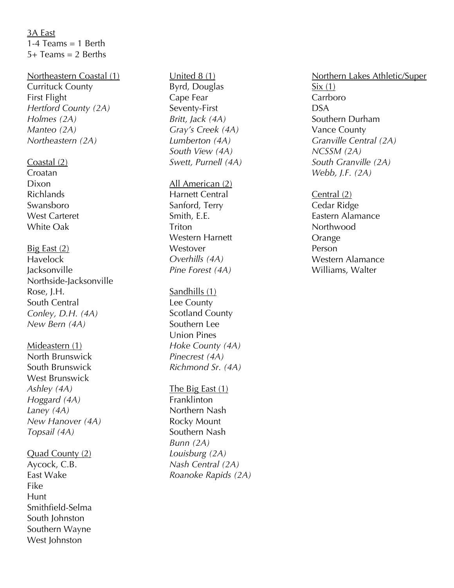3A East 1-4 Teams  $= 1$  Berth  $5+$  Teams = 2 Berths

#### Northeastern Coastal (1)

Currituck County First Flight *Hertford County (2A) Holmes (2A) Manteo (2A) Northeastern (2A)*

#### Coastal (2)

Croatan Dixon Richlands Swansboro West Carteret White Oak

Big East (2) Havelock Jacksonville Northside -Jacksonville Rose, J.H. South Central *Conley, D.H. (4A) New Bern (4A)*

Mideastern (1) North Brunswick South Brunswick West Brunswick *Ashley (4A) Hoggard (4A) Laney (4A) New Hanover (4A) Topsail (4A)*

#### Quad County (2)

Aycock, C.B. East Wake Fike Hunt Smithfield -Selma South Johnston Southern Wayne West Johnston

### United 8 (1) Byrd, Douglas Cape Fear Seventy -First *Britt, Jack (4A) Gray's Creek (4A) Lumberton (4A) South View (4A) Swett, Purnell (4A)*

All American (2) Harnett Central Sanford, Terry Smith, E.E. **Triton** Western Harnett Westover *Overhills (4A) Pine Forest (4A)*

#### Sandhills (1)

Lee County Scotland County Southern Lee Union Pines *Hoke County (4A) Pinecrest (4A) Richmond Sr. (4A)*

# The Big East (1) **Franklinton** Northern Nash Rocky Mount Southern Nash *Bunn (2A)*

*Louisburg (2A) Nash Central (2A) Roanoke Rapids (2A)*

### Northern Lakes Athletic/Super  $Six(1)$ Carrboro DSA Southern Durham Vance County *Granville Central (2A) NCSSM (2A) South Granville (2A) Webb, J.F. (2A)*

Central (2) Cedar Ridge Eastern Alamance Northwood Orange Person Western Alamance Williams, Walter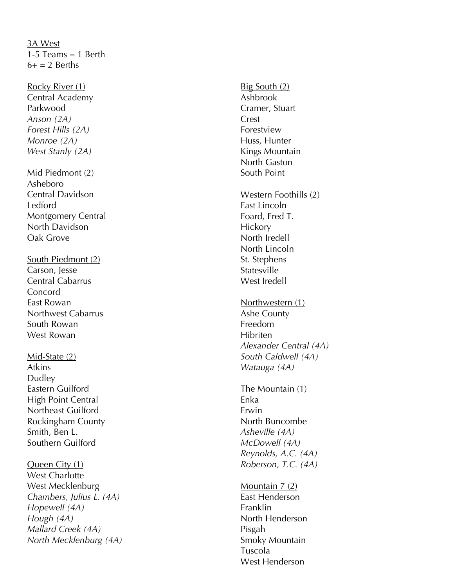## 3A West 1-5 Teams  $= 1$  Berth  $6+=2$  Berths

Rocky River (1) Central Academy Parkwood *Anson (2A) Forest Hills (2A) Monroe (2A) West Stanly (2A)*

### Mid Piedmont (2) Asheboro Central Davidson Ledford Montgomery Central North Davidson Oak Grove

South Piedmont (2) Carson, Jesse Central Cabarrus Concord East Rowan Northwest Cabarrus South Rowan West Rowan

Mid -State (2) Atkins Dudley Eastern Guilford High Point Central Northeast Guilford Rockingham County Smith, Ben L. Southern Guilford

Queen City (1) West Charlotte West Mecklenburg *Chambers, Julius L. (4A) Hopewell (4A) Hough (4A) Mallard Creek (4A) North Mecklenburg (4A)* Big South (2) Ashbrook Cramer, Stuart Crest Forestview Huss, Hunter Kings Mountain North Gaston South Point Western Foothills (2) East Lincoln Foard, Fred T. **Hickory** North Iredell North Lincoln St. Stephens Statesville West Iredell Northwestern (1) Ashe County Freedom Hibriten *Alexander Central (4A) South Caldwell (4A) Watauga (4A)* The Mountain (1) Enka Erwin North Buncombe *Asheville (4A) McDowell (4A) Reynolds, A.C. (4A) Roberson, T.C. (4A)* Mountain 7 (2) East Henderson

Franklin North Henderson Pisgah Smoky Mountain Tuscola West Henderson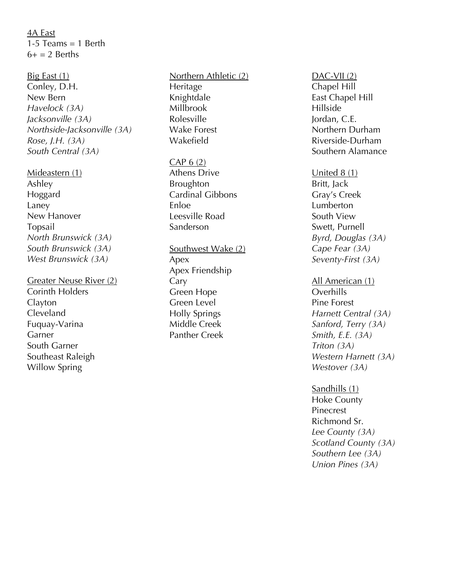4A East 1-5 Teams  $= 1$  Berth  $6+=2$  Berths

Big East (1) Conley, D.H. New Bern *Havelock (3A) Jacksonville (3A) Northside -Jacksonville (3A) Rose, J.H. (3A) South Central (3A)*

Mideastern (1) Ashley Hoggard Laney New Hanover Topsail *North Brunswick (3A) South Brunswick (3A) West Brunswick (3A)*

Greater Neuse River (2) Corinth Holders Clayton Cleveland Fuquay -Varina Garner South Garner Southeast Raleigh Willow Spring

Northern Athletic (2) **Heritage** Knightdale Millbrook Rolesville Wake Forest Wakefield

 $CAP 6 (2)$ Athens Drive Broughton Cardinal Gibbons Enloe Leesville Road Sanderso n

Southwest Wake (2) Apex Apex Friendship Cary Green Hope Green Level Holly Springs Middle Creek Panther Creek

DAC-VII (2) Chapel Hill East Chapel Hill Hillside Jordan, C.E. Northern Durham Riverside -Durham Southern Alamance

United 8 (1) Britt, Jack Gray's Creek Lumberton South View Swett, Purnell *Byrd, Douglas (3A) Cape Fear (3A) Seventy -First (3A)*

All American (1) **Overhills** Pine Forest *Harnett Central (3A) Sanford, Terry (3A) Smith, E.E. (3A) Triton (3A) Western Harnett (3A) Westover (3A)*

Sandhills (1) Hoke County Pinecrest Richmond Sr. *Lee County (3A) Scotland County (3A) Southern Lee (3A) Union Pines (3A)*